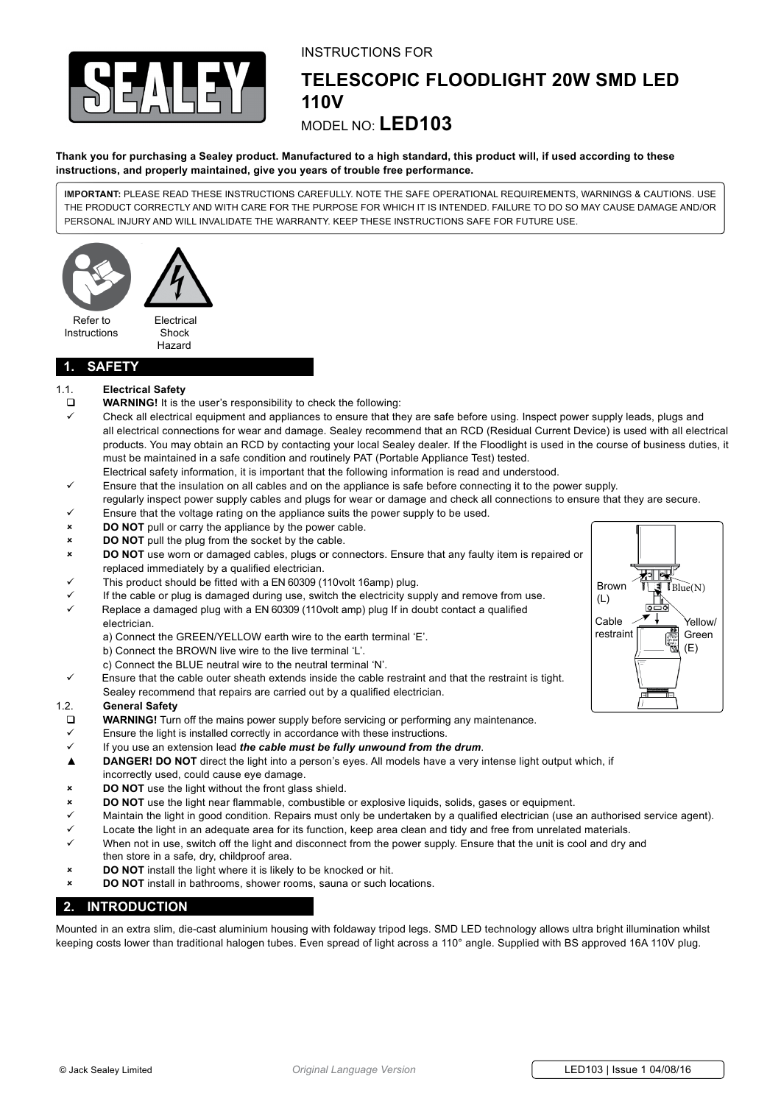

## instructions for

# **telescopic floodlight 20w smd led 110v**

## model no: **LED103**

#### **Thank you for purchasing a Sealey product. Manufactured to a high standard, this product will, if used according to these instructions, and properly maintained, give you years of trouble free performance.**

**IMPORTANT:** PLEASE READ THESE INSTRUCTIONS CAREFULLY. NOTE THE SAFE OPERATIONAL REQUIREMENTS, WARNINGS & CAUTIONS. USE THE PRODUCT CORRECTLY AND WITH CARE FOR THE PURPOSE FOR WHICH IT IS INTENDED. FAILURE TO DO SO MAY CAUSE DAMAGE AND/OR PERSONAL INJURY AND WILL INVALIDATE THE WARRANTY. KEEP THESE INSTRUCTIONS SAFE FOR FUTURE USE.



Hazard

## **1. safety**

### 1.1. **Electrical Safety**

- **WARNING!** It is the user's responsibility to check the following:
- Check all electrical equipment and appliances to ensure that they are safe before using. Inspect power supply leads, plugs and all electrical connections for wear and damage. Sealey recommend that an RCD (Residual Current Device) is used with all electrical products. You may obtain an RCD by contacting your local Sealey dealer. If the Floodlight is used in the course of business duties, it must be maintained in a safe condition and routinely PAT (Portable Appliance Test) tested.
- Electrical safety information, it is important that the following information is read and understood.
- Ensure that the insulation on all cables and on the appliance is safe before connecting it to the power supply. regularly inspect power supply cables and plugs for wear or damage and check all connections to ensure that they are secure.
- Ensure that the voltage rating on the appliance suits the power supply to be used.
- **DO NOT** pull or carry the appliance by the power cable.
- **BO NOT** pull the plug from the socket by the cable.
- 8 **DO NOT** use worn or damaged cables, plugs or connectors. Ensure that any faulty item is repaired or replaced immediately by a qualified electrician.
- This product should be fitted with a EN 60309 (110volt 16amp) plug.
- If the cable or plug is damaged during use, switch the electricity supply and remove from use.
- Replace a damaged plug with a EN 60309 (110volt amp) plug If in doubt contact a qualified electrician.
	- a) Connect the GREEN/YELLOW earth wire to the earth terminal 'E'.
	- b) Connect the BROWN live wire to the live terminal 'L'.
	- c) Connect the BLUE neutral wire to the neutral terminal 'N'.
- Ensure that the cable outer sheath extends inside the cable restraint and that the restraint is tight.
- Sealey recommend that repairs are carried out by a qualified electrician.

#### 1.2. **General Safety**

- **WARNING!** Turn off the mains power supply before servicing or performing any maintenance.
- Ensure the light is installed correctly in accordance with these instructions.
- 9 If you use an extension lead *the cable must be fully unwound from the drum*.
- ▲ **DANGER! DO NOT** direct the light into a person's eyes. All models have a very intense light output which, if incorrectly used, could cause eye damage.
- 8 **DO NOT** use the light without the front glass shield.
- **DO NOT** use the light near flammable, combustible or explosive liquids, solids, gases or equipment.
- $\checkmark$  Maintain the light in good condition. Repairs must only be undertaken by a qualified electrician (use an authorised service agent).
- Locate the light in an adequate area for its function, keep area clean and tidy and free from unrelated materials.
- When not in use, switch off the light and disconnect from the power supply. Ensure that the unit is cool and dry and
- then store in a safe, dry, childproof area. 8 **DO NOT** install the light where it is likely to be knocked or hit.
- **DO NOT** install in bathrooms, shower rooms, sauna or such locations.

## **2. introduction**

Mounted in an extra slim, die-cast aluminium housing with foldaway tripod legs. SMD LED technology allows ultra bright illumination whilst keeping costs lower than traditional halogen tubes. Even spread of light across a 110° angle. Supplied with BS approved 16A 110V plug.